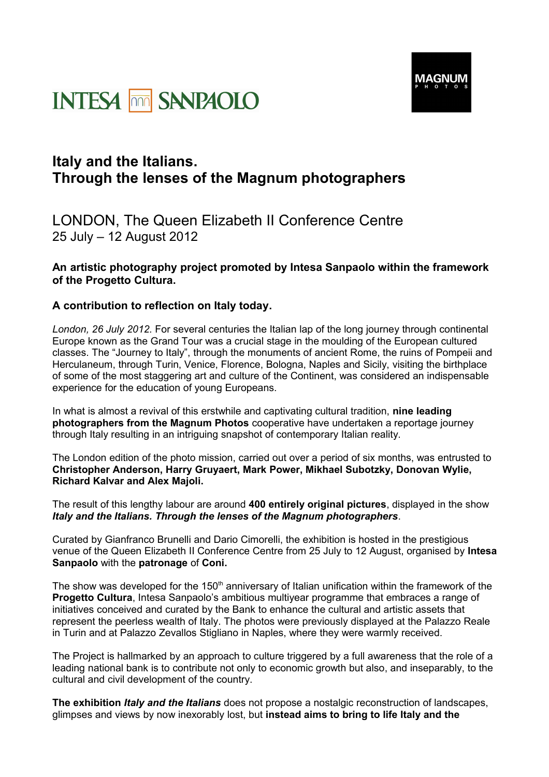



## **Italy and the Italians. Through the lenses of the Magnum photographers**

LONDON, The Queen Elizabeth II Conference Centre 25 July – 12 August 2012

## **An artistic photography project promoted by Intesa Sanpaolo within the framework of the Progetto Cultura.**

## **A contribution to reflection on Italy today.**

*London, 26 July 2012.* For several centuries the Italian lap of the long journey through continental Europe known as the Grand Tour was a crucial stage in the moulding of the European cultured classes. The "Journey to Italy", through the monuments of ancient Rome, the ruins of Pompeii and Herculaneum, through Turin, Venice, Florence, Bologna, Naples and Sicily, visiting the birthplace of some of the most staggering art and culture of the Continent, was considered an indispensable experience for the education of young Europeans.

In what is almost a revival of this erstwhile and captivating cultural tradition, **nine leading photographers from the Magnum Photos** cooperative have undertaken a reportage journey through Italy resulting in an intriguing snapshot of contemporary Italian reality.

The London edition of the photo mission, carried out over a period of six months, was entrusted to **Christopher Anderson, Harry Gruyaert, Mark Power, Mikhael Subotzky, Donovan Wylie, Richard Kalvar and Alex Majoli.**

The result of this lengthy labour are around **400 entirely original pictures**, displayed in the show *Italy and the Italians. Through the lenses of the Magnum photographers*.

Curated by Gianfranco Brunelli and Dario Cimorelli, the exhibition is hosted in the prestigious venue of the Queen Elizabeth II Conference Centre from 25 July to 12 August, organised by **Intesa Sanpaolo** with the **patronage** of **Coni.**

The show was developed for the 150<sup>th</sup> anniversary of Italian unification within the framework of the **Progetto Cultura**, Intesa Sanpaolo's ambitious multiyear programme that embraces a range of initiatives conceived and curated by the Bank to enhance the cultural and artistic assets that represent the peerless wealth of Italy. The photos were previously displayed at the Palazzo Reale in Turin and at Palazzo Zevallos Stigliano in Naples, where they were warmly received.

The Project is hallmarked by an approach to culture triggered by a full awareness that the role of a leading national bank is to contribute not only to economic growth but also, and inseparably, to the cultural and civil development of the country.

**The exhibition** *Italy and the Italians* does not propose a nostalgic reconstruction of landscapes, glimpses and views by now inexorably lost, but **instead aims to bring to life Italy and the**